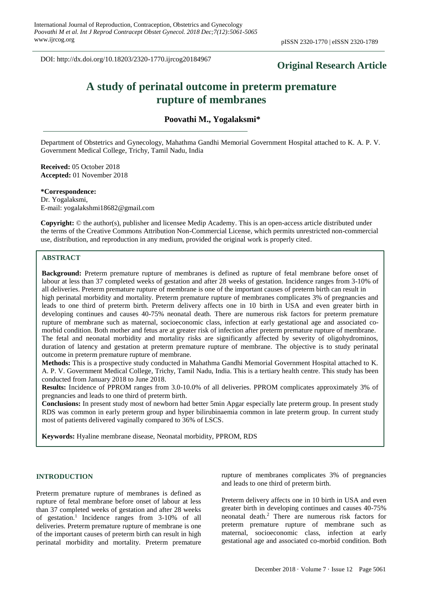DOI: http://dx.doi.org/10.18203/2320-1770.ijrcog20184967

# **Original Research Article**

# **A study of perinatal outcome in preterm premature rupture of membranes**

**Poovathi M., Yogalaksmi\***

Department of Obstetrics and Gynecology, Mahathma Gandhi Memorial Government Hospital attached to K. A. P. V. Government Medical College, Trichy, Tamil Nadu, India

**Received:** 05 October 2018 **Accepted:** 01 November 2018

**\*Correspondence:** Dr. Yogalaksmi, E-mail: yogalakshmi18682@gmail.com

**Copyright:** © the author(s), publisher and licensee Medip Academy. This is an open-access article distributed under the terms of the Creative Commons Attribution Non-Commercial License, which permits unrestricted non-commercial use, distribution, and reproduction in any medium, provided the original work is properly cited.

# **ABSTRACT**

**Background:** Preterm premature rupture of membranes is defined as rupture of fetal membrane before onset of labour at less than 37 completed weeks of gestation and after 28 weeks of gestation. Incidence ranges from 3-10% of all deliveries. Preterm premature rupture of membrane is one of the important causes of preterm birth can result in high perinatal morbidity and mortality. Preterm premature rupture of membranes complicates 3% of pregnancies and leads to one third of preterm birth. Preterm delivery affects one in 10 birth in USA and even greater birth in developing continues and causes 40-75% neonatal death. There are numerous risk factors for preterm premature rupture of membrane such as maternal, socioeconomic class, infection at early gestational age and associated comorbid condition. Both mother and fetus are at greater risk of infection after preterm premature rupture of membrane. The fetal and neonatal morbidity and mortality risks are significantly affected by severity of oligohydrominos, duration of latency and gestation at preterm premature rupture of membrane. The objective is to study perinatal outcome in preterm premature rupture of membrane.

**Methods:** This is a prospective study conducted in Mahathma Gandhi Memorial Government Hospital attached to K. A. P. V. Government Medical College, Trichy, Tamil Nadu, India. This is a tertiary health centre. This study has been conducted from January 2018 to June 2018.

**Results:** Incidence of PPROM ranges from 3.0-10.0% of all deliveries. PPROM complicates approximately 3% of pregnancies and leads to one third of preterm birth.

**Conclusions:** In present study most of newborn had better 5min Apgar especially late preterm group. In present study RDS was common in early preterm group and hyper bilirubinaemia common in late preterm group. In current study most of patients delivered vaginally compared to 36% of LSCS.

**Keywords:** Hyaline membrane disease, Neonatal morbidity, PPROM, RDS

# **INTRODUCTION**

Preterm premature rupture of membranes is defined as rupture of fetal membrane before onset of labour at less than 37 completed weeks of gestation and after 28 weeks of gestation.<sup>1</sup> Incidence ranges from 3-10% of all deliveries. Preterm premature rupture of membrane is one of the important causes of preterm birth can result in high perinatal morbidity and mortality. Preterm premature rupture of membranes complicates 3% of pregnancies and leads to one third of preterm birth.

Preterm delivery affects one in 10 birth in USA and even greater birth in developing continues and causes 40-75% neonatal death.<sup>2</sup> There are numerous risk factors for preterm premature rupture of membrane such as maternal, socioeconomic class, infection at early gestational age and associated co-morbid condition. Both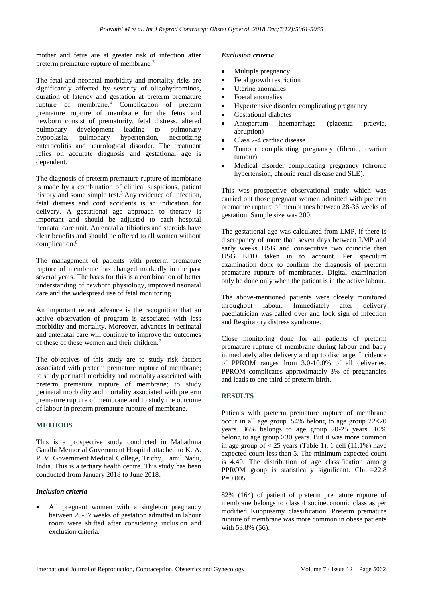mother and fetus are at greater risk of infection after preterm premature rupture of membrane.<sup>3</sup>

The fetal and neonatal morbidity and mortality risks are significantly affected by severity of oligohydrominos, duration of latency and gestation at preterm premature rupture of membrane. $4$  Complication of preterm premature rupture of membrane for the fetus and newborn consist of prematurity, fetal distress, altered pulmonary development leading to pulmonary hypoplasia, pulmonary hypertension, necrotizing enterocolitis and neurological disorder. The treatment relies on accurate diagnosis and gestational age is dependent.

The diagnosis of preterm premature rupture of membrane is made by a combination of clinical suspicious, patient history and some simple test.<sup>5</sup> Any evidence of infection, fetal distress and cord accidents is an indication for delivery. A gestational age approach to therapy is important and should be adjusted to each hospital neonatal care unit. Antenatal antibiotics and steroids have clear benefits and should be offered to all women without complication.<sup>6</sup>

The management of patients with preterm premature rupture of membrane has changed markedly in the past several years. The basis for this is a combination of better understanding of newborn physiology, improved neonatal care and the widespread use of fetal monitoring.

An important recent advance is the recognition that an active observation of program is associated with less morbidity and mortality. Moreover, advances in perinatal and antenatal care will continue to improve the outcomes of these of these women and their children.<sup>7</sup>

The objectives of this study are to study risk factors associated with preterm premature rupture of membrane; to study perinatal morbidity and mortality associated with preterm premature rupture of membrane; to study perinatal morbidity and mortality associated with preterm premature rupture of membrane and to study the outcome of labour in preterm premature rupture of membrane.

# **METHODS**

This is a prospective study conducted in Mahathma Gandhi Memorial Government Hospital attached to K. A. P. V. Government Medical College, Trichy, Tamil Nadu, India. This is a tertiary health centre. This study has been conducted from January 2018 to June 2018.

# *Inclusion criteria*

All pregnant women with a singleton pregnancy between 28-37 weeks of gestation admitted in labour room were shifted after considering inclusion and exclusion criteria.

#### *Exclusion criteria*

- Multiple pregnancy
- Fetal growth restriction
- Uterine anomalies
- Foetal anomalies
- Hypertensive disorder complicating pregnancy
- Gestational diabetes
- Antepartum haemarrhage (placenta praevia, abruption)
- Class 2-4 cardiac disease
- Tumour complicating pregnancy (fibroid, ovarian tumour)
- Medical disorder complicating pregnancy (chronic hypertension, chronic renal disease and SLE).

This was prospective observational study which was carried out those pregnant women admitted with preterm premature rupture of membranes between 28-36 weeks of gestation. Sample size was 200.

The gestational age was calculated from LMP, if there is discrepancy of more than seven days between LMP and early weeks USG and consecutive two coincide then USG EDD taken in to account. Per speculum examination done to confirm the diagnosis of preterm premature rupture of membranes. Digital examination only be done only when the patient is in the active labour.

The above-mentioned patients were closely monitored throughout labour. Immediately after delivery paediatrician was called over and look sign of infection and Respiratory distress syndrome.

Close monitoring done for all patients of preterm premature rupture of membrane during labour and baby immediately after delivery and up to discharge. Incidence of PPROM ranges from 3.0-10.0% of all deliveries. PPROM complicates approximately 3% of pregnancies and leads to one third of preterm birth.

# **RESULTS**

Patients with preterm premature rupture of membrane occur in all age group. 54% belong to age group 22<20 years. 36% belongs to age group 20-25 years. 10% belong to age group >30 years. But it was more common in age group of  $< 25$  years (Table 1). 1 cell (11.1%) have expected count less than 5. The minimum expected count is 4.40. The distribution of age classification among PPROM group is statistically significant. Chi =22.8  $P=0.005$ .

82% (164) of patient of preterm premature rupture of membrane belongs to class 4 socioeconomic class as per modified Kuppusamy classification. Preterm premature rupture of membrane was more common in obese patients with 53.8% (56).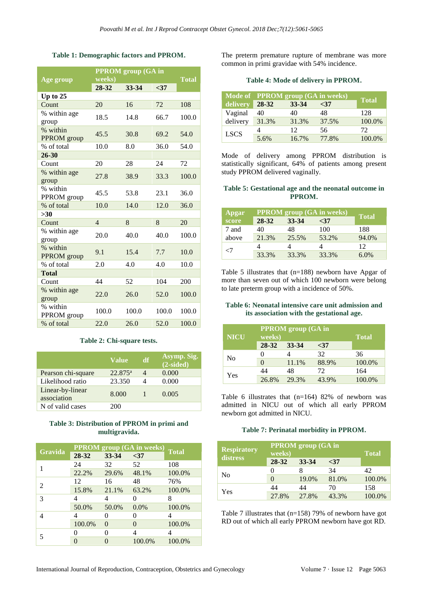# **Table 1: Demographic factors and PPROM.**

|                         | <b>PPROM</b> group (GA in |       |       |              |
|-------------------------|---------------------------|-------|-------|--------------|
| Age group               | weeks)                    |       |       | <b>Total</b> |
|                         | 28-32                     | 33-34 | $37$  |              |
| Up to $25$              |                           |       |       |              |
| Count                   | 20                        | 16    | 72    | 108          |
| % within age<br>group   | 18.5                      | 14.8  | 66.7  | 100.0        |
| % within<br>PPROM group | 45.5                      | 30.8  | 69.2  | 54.0         |
| % of total              | 10.0                      | 8.0   | 36.0  | 54.0         |
| 26-30                   |                           |       |       |              |
| Count                   | 20                        | 28    | 24    | 72           |
| % within age<br>group   | 27.8                      | 38.9  | 33.3  | 100.0        |
| % within<br>PPROM group | 45.5                      | 53.8  | 23.1  | 36.0         |
| % of total              | 10.0                      | 14.0  | 12.0  | 36.0         |
| $>30$                   |                           |       |       |              |
| Count                   | $\overline{4}$            | 8     | 8     | 20           |
| % within age<br>group   | 20.0                      | 40.0  | 40.0  | 100.0        |
| % within<br>PPROM group | 9.1                       | 15.4  | 7.7   | 10.0         |
| % of total              | 2.0                       | 4.0   | 4.0   | 10.0         |
| <b>Total</b>            |                           |       |       |              |
| Count                   | 44                        | 52    | 104   | 200          |
| % within age<br>group   | 22.0                      | 26.0  | 52.0  | 100.0        |
| % within<br>PPROM group | 100.0                     | 100.0 | 100.0 | 100.0        |
| % of total              | 22.0                      | 26.0  | 52.0  | 100.0        |

#### **Table 2: Chi-square tests.**

|                                 | <b>Value</b>     | df | Asymp. Sig.<br>$(2-sided)$ |
|---------------------------------|------------------|----|----------------------------|
| Pearson chi-square              | $22.875^{\circ}$ |    | 0.000                      |
| Likelihood ratio                | 23.350           |    | 0.000                      |
| Linear-by-linear<br>association | 8.000            |    | 0.005                      |
| N of valid cases                | 200              |    |                            |

# **Table 3: Distribution of PPROM in primi and multigravida.**

| Gravida | <b>PPROM</b> group (GA in weeks) |          |          | <b>Total</b> |
|---------|----------------------------------|----------|----------|--------------|
|         | 28-32                            | 33-34    | $37$     |              |
|         | 24                               | 32       | 52       | 108          |
|         | 22.2%                            | 29.6%    | 48.1%    | 100.0%       |
|         | 12                               | 16       | 48       | 76%          |
| 2       | 15.8%                            | 21.1%    | 63.2%    | 100.0%       |
| 3       |                                  |          |          | 8            |
|         | 50.0%                            | 50.0%    | 0.0%     | 100.0%       |
|         |                                  |          | 0        | 4            |
|         | 100.0%                           | $\Omega$ | $\theta$ | 100.0%       |
|         |                                  |          | 4        | 4            |
|         |                                  |          | 100.0%   | 100.0%       |

The preterm premature rupture of membrane was more common in primi gravidae with 54% incidence.

|  |  |  | Table 4: Mode of delivery in PPROM. |
|--|--|--|-------------------------------------|
|  |  |  |                                     |

|             | Mode of PPROM group (GA in weeks) | <b>Total</b> |       |        |
|-------------|-----------------------------------|--------------|-------|--------|
| delivery    | 28-32                             | 33-34        | $37$  |        |
| Vaginal     | 40                                | 40           | 48    | 128    |
| delivery    | 31.3%                             | 31.3%        | 37.5% | 100.0% |
| <b>LSCS</b> |                                   | 12.          | 56    | 72     |
|             | 5.6%                              | 16.7%        | 77.8% | 100.0% |

Mode of delivery among PPROM distribution is statistically significant, 64% of patients among present study PPROM delivered vaginally.

#### **Table 5: Gestational age and the neonatal outcome in PPROM.**

| Apgar | <b>PPROM</b> group (GA in weeks) | <b>Total</b> |       |         |
|-------|----------------------------------|--------------|-------|---------|
| score | 28-32                            | 33-34        | $37$  |         |
| 7 and | 40                               | 48           | 100   | 188     |
| above | 21.3%                            | 25.5%        | 53.2% | 94.0%   |
|       |                                  |              |       | 12      |
| -7    | 33.3%                            | 33.3%        | 33.3% | $6.0\%$ |

Table 5 illustrates that (n=188) newborn have Apgar of more than seven out of which 100 newborn were belong to late preterm group with a incidence of 50%.

# **Table 6: Neonatal intensive care unit admission and its association with the gestational age.**

| <b>NICU</b> | <b>PPROM</b> group (GA in<br>weeks) | <b>Total</b> |       |        |
|-------------|-------------------------------------|--------------|-------|--------|
|             | 28-32                               | 33-34        | $37$  |        |
| No          | 0                                   |              | 32    | 36     |
|             | $\mathcal{O}$                       | 11.1%        | 88.9% | 100.0% |
| Yes         | 44                                  | 48           | 72    | 164    |
|             | 26.8%                               | 29.3%        | 43.9% | 100.0% |

Table 6 illustrates that (n=164) 82% of newborn was admitted in NICU out of which all early PPROM newborn got admitted in NICU.

# **Table 7: Perinatal morbidity in PPROM.**

| <b>Respiratory</b><br>distress | <b>PPROM</b> group (GA in<br>weeks) | <b>Total</b> |       |        |
|--------------------------------|-------------------------------------|--------------|-------|--------|
|                                | 28-32                               | 33-34        | $37$  |        |
| No                             |                                     |              | 34    | 42.    |
|                                | $\Omega$                            | 19.0%        | 81.0% | 100.0% |
| Yes                            | 44                                  | 44           | 70    | 158    |
|                                | 27.8%                               | 27.8%        | 43.3% | 100.0% |

Table 7 illustrates that (n=158) 79% of newborn have got RD out of which all early PPROM newborn have got RD.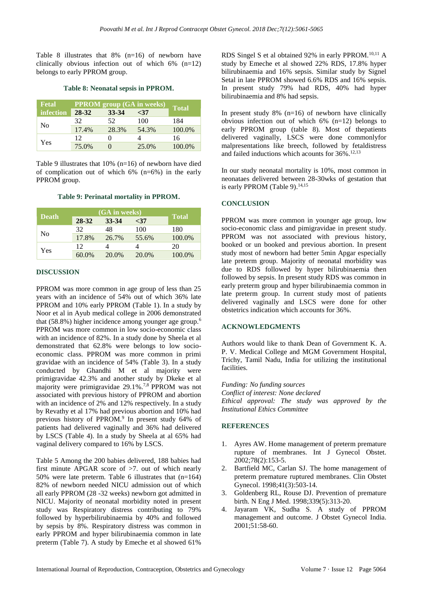Table 8 illustrates that 8% (n=16) of newborn have clinically obvious infection out of which  $6\%$  (n=12) belongs to early PPROM group.

#### **Table 8: Neonatal sepsis in PPROM.**

| <b>Fetal</b> | <b>PPROM</b> group (GA in weeks) | <b>Total</b> |       |        |
|--------------|----------------------------------|--------------|-------|--------|
| infection    | 28-32                            | 33-34        | $37$  |        |
| No           | 32                               | 52           | 100   | 184    |
|              | 17.4%                            | 28.3%        | 54.3% | 100.0% |
| Yes          | 12                               |              |       | 16     |
|              | 75.0%                            |              | 25.0% | 100.0% |

Table 9 illustrates that 10% (n=16) of newborn have died of complication out of which 6% (n=6%) in the early PPROM group.

#### **Table 9: Perinatal mortality in PPROM.**

|              | (GA in weeks) |       |       |              |
|--------------|---------------|-------|-------|--------------|
| <b>Death</b> | 28-32         | 33-34 | $37$  | <b>Total</b> |
| No           | 32            | 48    | 100   | 180          |
|              | 17.8%         | 26.7% | 55.6% | 100.0%       |
| Yes          | 12            |       |       | 20           |
|              | 60.0%         | 20.0% | 20.0% | 100.0%       |

#### **DISCUSSION**

PPROM was more common in age group of less than 25 years with an incidence of 54% out of which 36% late PPROM and 10% early PPROM (Table 1). In a study by Noor et al in Ayub medical college in 2006 demonstrated that (58.8%) higher incidence among younger age group.<sup>6</sup> PPROM was more common in low socio-economic class with an incidence of 82%. In a study done by Sheela et al demonstrated that 62.8% were belongs to low socioeconomic class. PPROM was more common in primi gravidae with an incidence of 54% (Table 3). In a study conducted by Ghandhi M et al majority were primigravidae 42.3% and another study by Dkeke et al majority were primigravidae 29.1%.7,8 PPROM was not associated with previous history of PPROM and abortion with an incidence of 2% and 12% respectively. In a study by Revathy et al 17% had previous abortion and 10% had previous history of PPROM.<sup>9</sup> In present study 64% of patients had delivered vaginally and 36% had delivered by LSCS (Table 4). In a study by Sheela at al 65% had vaginal delivery compared to 16% by LSCS.

Table 5 Among the 200 babies delivered, 188 babies had first minute APGAR score of >7. out of which nearly 50% were late preterm. Table 6 illustrates that (n=164) 82% of newborn needed NICU admission out of which all early PPROM (28 -32 weeks) newborn got admitted in NICU. Majority of neonatal morbidity noted in present study was Respiratory distress contributing to 79% followed by hyperbilirubinaemia by 40% and followed by sepsis by 8%. Respiratory distress was common in early PPROM and hyper bilirubinaemia common in late preterm (Table 7). A study by Emeche et al showed 61%

RDS Singel S et al obtained 92% in early PPROM.10,11 A study by Emeche et al showed 22% RDS, 17.8% hyper bilirubinaemia and 16% sepsis. Similar study by Signel Setal in late PPROM showed 6.6% RDS and 16% sepsis. In present study 79% had RDS, 40% had hyper bilirubinaemia and 8% had sepsis.

In present study  $8\%$  (n=16) of newborn have clinically obvious infection out of which  $6\%$  (n=12) belongs to early PPROM group (table 8). Most of thepatients delivered vaginally, LSCS were done commonlyfor malpresentations like breech, followed by fetaldistress and failed inductions which acounts for 36%. 12,13

In our study neonatal mortality is 10%, most common in neonataes delivered between 28-30wks of gestation that is early PPROM (Table 9).<sup>14,15</sup>

#### **CONCLUSION**

PPROM was more common in younger age group, low socio-economic class and pimigravidae in present study. PPROM was not associated with previous history, booked or un booked and previous abortion. In present study most of newborn had better 5min Apgar especially late preterm group. Majority of neonatal morbidity was due to RDS followed by hyper bilirubinaemia then followed by sepsis. In present study RDS was common in early preterm group and hyper bilirubinaemia common in late preterm group. In current study most of patients delivered vaginally and LSCS were done for other obstetrics indication which accounts for 36%.

#### **ACKNOWLEDGMENTS**

Authors would like to thank Dean of Government K. A. P. V. Medical College and MGM Government Hospital, Trichy, Tamil Nadu, India for utilizing the institutional facilities.

*Funding: No funding sources Conflict of interest: None declared Ethical approval: The study was approved by the Institutional Ethics Committee*

#### **REFERENCES**

- 1. Ayres AW. Home management of preterm premature rupture of membranes. Int J Gynecol Obstet. 2002;78(2):153-5.
- 2. Bartfield MC, Carlan SJ. The home management of preterm premature ruptured membranes. Clin Obstet Gynecol. 1998;41(3):503-14.
- 3. Goldenberg RL, Rouse DJ. Prevention of premature birth. N Eng J Med. 1998;339(5):313-20.
- 4. Jayaram VK, Sudha S. A study of PPROM management and outcome. J Obstet Gynecol India. 2001;51:58-60.